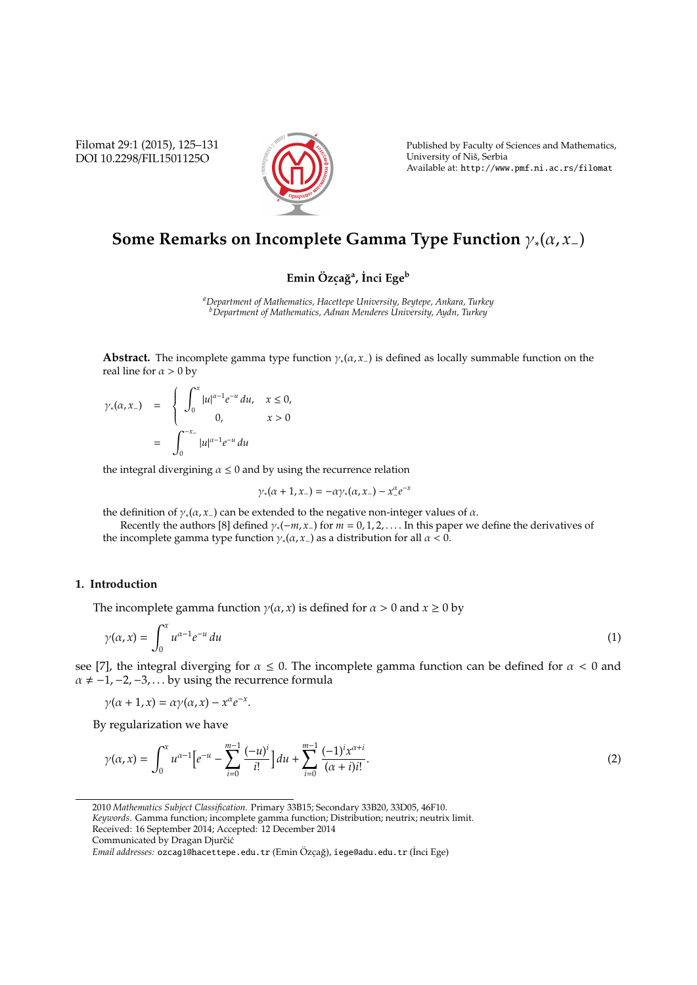Filomat 29:1 (2015), 125–131 DOI 10.2298/FIL1501125O



Published by Faculty of Sciences and Mathematics, University of Niš, Serbia Available at: http://www.pmf.ni.ac.rs/filomat

# **Some Remarks on Incomplete Gamma Type Function** γ∗(α, *x*−)

## **Emin Ozc ¨ . a ˘g<sup>a</sup> , ˙Inci Ege<sup>b</sup>**

*<sup>a</sup>Department of Mathematics, Hacettepe University, Beytepe, Ankara, Turkey <sup>b</sup>Department of Mathematics, Adnan Menderes University, Aydn, Turkey*

**Abstract.** The incomplete gamma type function  $\gamma_*(\alpha, x_-)$  is defined as locally summable function on the real line for  $\alpha > 0$  by

$$
\gamma_*(\alpha, x_-) = \begin{cases} \int_0^x |u|^{\alpha-1} e^{-u} du, & x \le 0, \\ 0, & x > 0 \end{cases}
$$
  
= 
$$
\int_0^{-x_-} |u|^{\alpha-1} e^{-u} du
$$

the integral divergining  $\alpha \leq 0$  and by using the recurrence relation

$$
\gamma_*(\alpha+1,x_-)=-\alpha\gamma_*(\alpha,x_-)-x_-^{\alpha}e^{-x}
$$

the definition of  $\gamma_*(\alpha, x_-)$  can be extended to the negative non-integer values of  $\alpha$ .

Recently the authors [8] defined  $\gamma_*(-m, x_-)$  for  $m = 0, 1, 2, \ldots$  In this paper we define the derivatives of the incomplete gamma type function  $\gamma_*(\alpha, x_-)$  as a distribution for all  $\alpha < 0$ .

## **1. Introduction**

The incomplete gamma function  $\gamma(\alpha, x)$  is defined for  $\alpha > 0$  and  $x \ge 0$  by

$$
\gamma(\alpha, x) = \int_0^x u^{\alpha - 1} e^{-u} du \tag{1}
$$

see [7], the integral diverging for  $\alpha \le 0$ . The incomplete gamma function can be defined for  $\alpha < 0$  and  $\alpha \neq -1, -2, -3, \ldots$  by using the recurrence formula

$$
\gamma(\alpha+1,x)=\alpha\gamma(\alpha,x)-x^{\alpha}e^{-x}.
$$

By regularization we have

$$
\gamma(\alpha, x) = \int_0^x u^{\alpha - 1} \left[ e^{-u} - \sum_{i=0}^{m-1} \frac{(-u)^i}{i!} \right] du + \sum_{i=0}^{m-1} \frac{(-1)^i x^{\alpha + i}}{(\alpha + i)i!}.
$$
 (2)

*Keywords*. Gamma function; incomplete gamma function; Distribution; neutrix; neutrix limit.

Received: 16 September 2014; Accepted: 12 December 2014

<sup>2010</sup> *Mathematics Subject Classification*. Primary 33B15; Secondary 33B20, 33D05, 46F10.

Communicated by Dragan Djurčić

E*mail addresses:* ozcag1@hacettepe.edu.tr (Emin Özçağ), iege@adu.edu.tr (İnci Ege)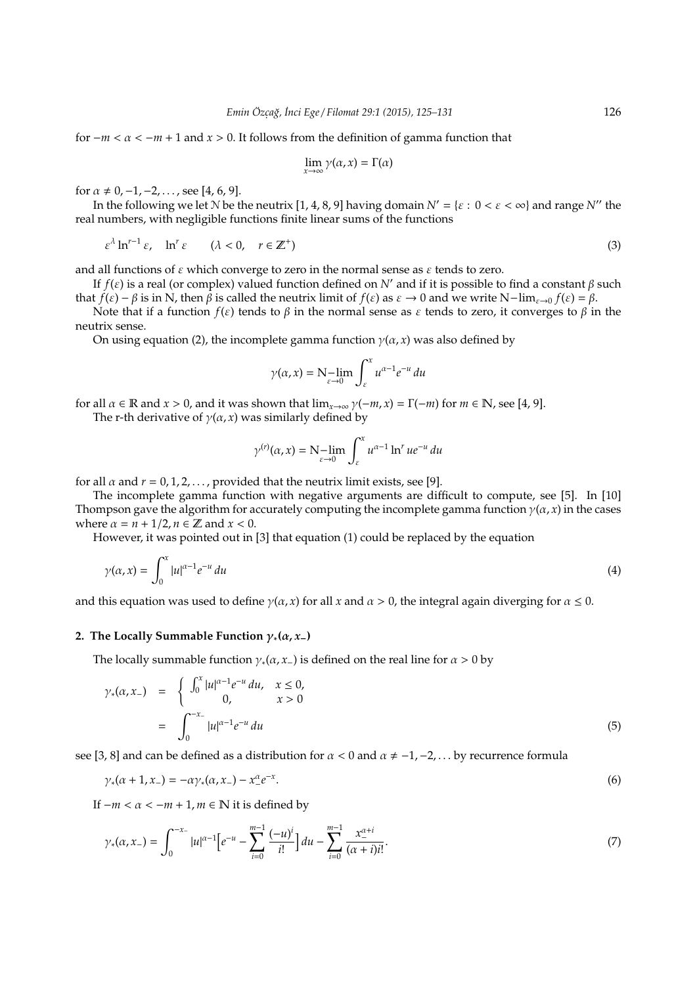for  $-m < \alpha < -m + 1$  and  $x > 0$ . It follows from the definition of gamma function that

$$
\lim_{x\to\infty}\gamma(\alpha,x)=\Gamma(\alpha)
$$

for  $\alpha \neq 0, -1, -2, \ldots$ , see [4, 6, 9].

In the following we let N be the neutrix [1, 4, 8, 9] having domain  $N' = \{ \varepsilon : 0 < \varepsilon < \infty \}$  and range  $N''$  the real numbers, with negligible functions finite linear sums of the functions

$$
\varepsilon^{\lambda} \ln^{r-1} \varepsilon, \quad \ln^{r} \varepsilon \qquad (\lambda < 0, \quad r \in \mathbb{Z}^{+})
$$
\n<sup>(3)</sup>

and all functions of  $\varepsilon$  which converge to zero in the normal sense as  $\varepsilon$  tends to zero.

If  $f(\varepsilon)$  is a real (or complex) valued function defined on *N'* and if it is possible to find a constant  $\beta$  such that  $f(\varepsilon) - \beta$  is in N, then  $\beta$  is called the neutrix limit of  $f(\varepsilon)$  as  $\varepsilon \to 0$  and we write N−lim<sub> $\varepsilon \to 0$ </sub>  $f(\varepsilon) = \beta$ .

Note that if a function  $f(\varepsilon)$  tends to  $\beta$  in the normal sense as  $\varepsilon$  tends to zero, it converges to  $\beta$  in the neutrix sense.

On using equation (2), the incomplete gamma function  $\gamma(\alpha, x)$  was also defined by

$$
\gamma(\alpha, x) = \mathbf{N} - \lim_{\varepsilon \to 0} \int_{\varepsilon}^{x} u^{\alpha - 1} e^{-u} du
$$

for all  $\alpha \in \mathbb{R}$  and  $x > 0$ , and it was shown that  $\lim_{x \to \infty} \gamma(-m, x) = \Gamma(-m)$  for  $m \in \mathbb{N}$ , see [4, 9].

The r-th derivative of  $\gamma(\alpha, x)$  was similarly defined by

$$
\gamma^{(r)}(\alpha, x) = \mathbf{N} - \lim_{\varepsilon \to 0} \int_{\varepsilon}^{x} u^{\alpha - 1} \ln^{r} u e^{-u} du
$$

for all  $\alpha$  and  $r = 0, 1, 2, \dots$ , provided that the neutrix limit exists, see [9].

The incomplete gamma function with negative arguments are difficult to compute, see [5]. In [10] Thompson gave the algorithm for accurately computing the incomplete gamma function  $\gamma(\alpha, x)$  in the cases where  $\alpha = n + \frac{1}{2}, n \in \mathbb{Z}$  and  $x < 0$ .

However, it was pointed out in [3] that equation (1) could be replaced by the equation

$$
\gamma(\alpha, x) = \int_0^x |u|^{\alpha - 1} e^{-u} du \tag{4}
$$

and this equation was used to define  $\gamma(\alpha, x)$  for all x and  $\alpha > 0$ , the integral again diverging for  $\alpha \leq 0$ .

### **2.** The Locally Summable Function  $\gamma_*(\alpha, x_-)$

The locally summable function  $\gamma_*(\alpha, x_-)$  is defined on the real line for  $\alpha > 0$  by

$$
\gamma_*(\alpha, x_-) = \begin{cases} \int_0^x |u|^{\alpha - 1} e^{-u} du, & x \le 0, \\ 0, & x > 0 \end{cases}
$$
  
= 
$$
\int_0^{-x_-} |u|^{\alpha - 1} e^{-u} du
$$
 (5)

see [3, 8] and can be defined as a distribution for  $\alpha < 0$  and  $\alpha \neq -1, -2, \dots$  by recurrence formula

$$
\gamma_*(\alpha + 1, x_{-}) = -\alpha \gamma_*(\alpha, x_{-}) - x_{-}^{\alpha} e^{-x}.
$$
\n(6)

If  $-m < \alpha < -m+1, m \in \mathbb{N}$  it is defined by

$$
\gamma_*(\alpha, x_-) = \int_0^{-x_-} |u|^{\alpha-1} \Big[ e^{-u} - \sum_{i=0}^{m-1} \frac{(-u)^i}{i!} \Big] du - \sum_{i=0}^{m-1} \frac{x_-^{\alpha+i}}{(\alpha+i)i!}.
$$
 (7)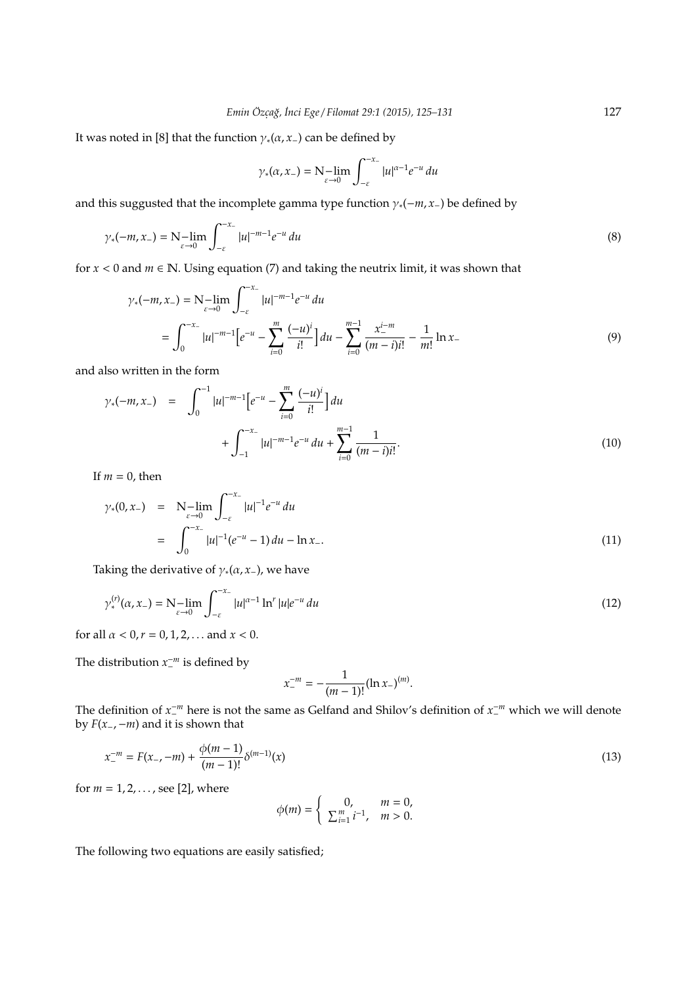It was noted in [8] that the function  $\gamma_*(\alpha, x_-)$  can be defined by

$$
\gamma_*(\alpha,x_-) = \mathop{\rm N-lim}_{\varepsilon \to 0} \int_{-\varepsilon}^{-x_-} |u|^{\alpha-1} e^{-u} \, du
$$

and this suggusted that the incomplete gamma type function  $\gamma_*(-m, x_-)$  be defined by

$$
\gamma_*(-m,x_-) = N - \lim_{\varepsilon \to 0} \int_{-\varepsilon}^{-x_-} |u|^{-m-1} e^{-u} du \tag{8}
$$

for  $x < 0$  and  $m \in \mathbb{N}$ . Using equation (7) and taking the neutrix limit, it was shown that

$$
\gamma_{*}(-m, x_{-}) = N - \lim_{\varepsilon \to 0} \int_{-\varepsilon}^{-x_{-}} |u|^{-m-1} e^{-u} du
$$
  
= 
$$
\int_{0}^{-x_{-}} |u|^{-m-1} \Big[ e^{-u} - \sum_{i=0}^{m} \frac{(-u)^{i}}{i!} \Big] du - \sum_{i=0}^{m-1} \frac{x_{-}^{i-m}}{(m-i)i!} - \frac{1}{m!} \ln x_{-}
$$
 (9)

and also written in the form

$$
\gamma_{*}(-m, x_{-}) = \int_{0}^{-1} |u|^{-m-1} \Big[ e^{-u} - \sum_{i=0}^{m} \frac{(-u)^{i}}{i!} \Big] du + \int_{-1}^{-x_{-}} |u|^{-m-1} e^{-u} du + \sum_{i=0}^{m-1} \frac{1}{(m-i)i!}.
$$
\n(10)

If  $m = 0$ , then

$$
\gamma_*(0, x_-) = N_{\varepsilon \to 0} - \lim_{\varepsilon \to 0} \int_{-\varepsilon}^{-x_-} |u|^{-1} e^{-u} du
$$
  
= 
$$
\int_0^{-x_-} |u|^{-1} (e^{-u} - 1) du - \ln x_-.
$$
 (11)

Taking the derivative of  $\gamma_*(\alpha, x_-)$ , we have

$$
\gamma_*^{(r)}(\alpha, x_-) = N - \lim_{\varepsilon \to 0} \int_{-\varepsilon}^{-x_-} |u|^{\alpha - 1} \ln^r |u| e^{-u} du
$$
\n(12)

for all  $\alpha < 0$ ,  $r = 0, 1, 2, ...$  and  $x < 0$ .

The distribution  $x^{-m}$  is defined by

$$
x_{-}^{-m}=-\frac{1}{(m-1)!}(\ln x_{-})^{(m)}.
$$

The definition of  $x_1$ <sup>-*m*</sup> here is not the same as Gelfand and Shilov's definition of  $x_1$ <sup>-*m*</sup> which we will denote by *F*(*x*−,−*m*) and it is shown that

$$
x_{-}^{-m} = F(x_{-}, -m) + \frac{\phi(m-1)}{(m-1)!} \delta^{(m-1)}(x)
$$
\n(13)

for  $m = 1, 2, ...,$  see [2], where

$$
\phi(m) = \begin{cases} 0, & m = 0, \\ \sum_{i=1}^{m} i^{-1}, & m > 0. \end{cases}
$$

The following two equations are easily satisfied;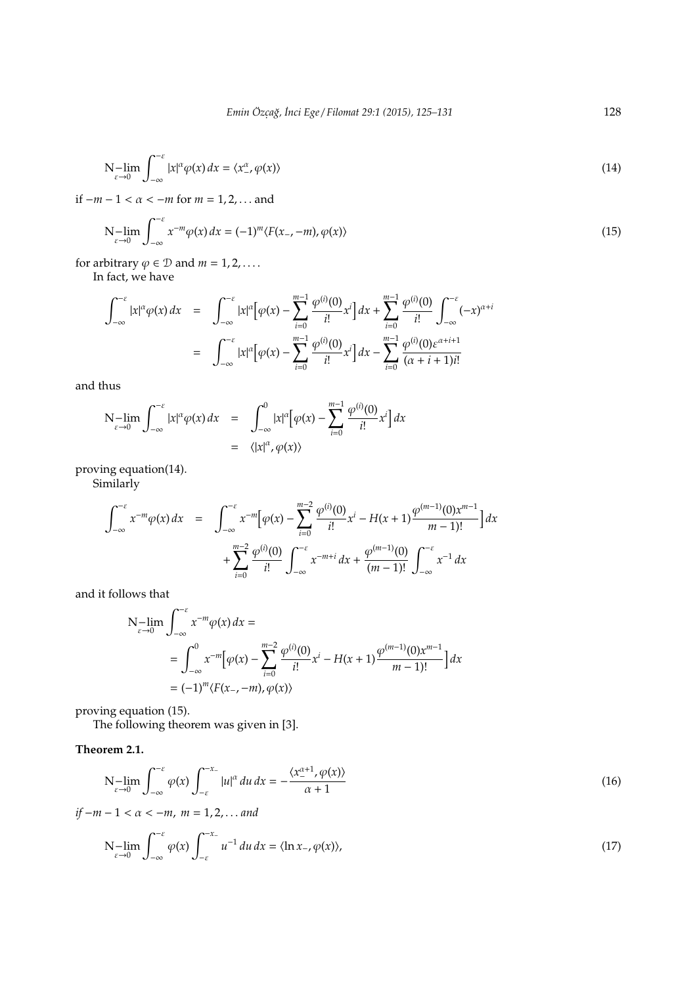$$
N - \lim_{\varepsilon \to 0} \int_{-\infty}^{-\varepsilon} |x|^\alpha \varphi(x) \, dx = \langle x^\alpha_-, \varphi(x) \rangle \tag{14}
$$

if −*m* − 1 < α < −*m* for *m* = 1, 2, . . . and

$$
N - \lim_{\varepsilon \to 0} \int_{-\infty}^{-\varepsilon} x^{-m} \varphi(x) \, dx = (-1)^m \langle F(x_-, -m), \varphi(x) \rangle \tag{15}
$$

for arbitrary  $\varphi \in \mathcal{D}$  and  $m = 1, 2, \dots$ .

In fact, we have

$$
\int_{-\infty}^{-\varepsilon} |x|^{\alpha} \varphi(x) dx = \int_{-\infty}^{-\varepsilon} |x|^{\alpha} \Big[ \varphi(x) - \sum_{i=0}^{m-1} \frac{\varphi^{(i)}(0)}{i!} x^{i} \Big] dx + \sum_{i=0}^{m-1} \frac{\varphi^{(i)}(0)}{i!} \int_{-\infty}^{-\varepsilon} (-x)^{\alpha+i} dx
$$

$$
= \int_{-\infty}^{-\varepsilon} |x|^{\alpha} \Big[ \varphi(x) - \sum_{i=0}^{m-1} \frac{\varphi^{(i)}(0)}{i!} x^{i} \Big] dx - \sum_{i=0}^{m-1} \frac{\varphi^{(i)}(0) \varepsilon^{\alpha+i+1}}{(\alpha+i+1)i!}
$$

and thus

$$
N-\lim_{\varepsilon \to 0} \int_{-\infty}^{-\varepsilon} |x|^{\alpha} \varphi(x) dx = \int_{-\infty}^{0} |x|^{\alpha} [\varphi(x) - \sum_{i=0}^{m-1} \frac{\varphi^{(i)}(0)}{i!} x^{i}] dx
$$
  
=  $\langle |x|^{\alpha}, \varphi(x) \rangle$ 

proving equation(14).

Similarly

$$
\int_{-\infty}^{-\varepsilon} x^{-m} \varphi(x) dx = \int_{-\infty}^{-\varepsilon} x^{-m} \Big[ \varphi(x) - \sum_{i=0}^{m-2} \frac{\varphi^{(i)}(0)}{i!} x^{i} - H(x+1) \frac{\varphi^{(m-1)}(0) x^{m-1}}{m-1!} \Big] dx + \sum_{i=0}^{m-2} \frac{\varphi^{(i)}(0)}{i!} \int_{-\infty}^{-\varepsilon} x^{-m+i} dx + \frac{\varphi^{(m-1)}(0)}{(m-1)!} \int_{-\infty}^{-\varepsilon} x^{-1} dx
$$

and it follows that

$$
N-\lim_{\varepsilon \to 0} \int_{-\infty}^{-\varepsilon} x^{-m} \varphi(x) dx =
$$
  
= 
$$
\int_{-\infty}^{0} x^{-m} [\varphi(x) - \sum_{i=0}^{m-2} \frac{\varphi^{(i)}(0)}{i!} x^{i} - H(x+1) \frac{\varphi^{(m-1)}(0) x^{m-1}}{m-1)!}] dx
$$
  
=  $(-1)^{m} \langle F(x_{-}, -m), \varphi(x) \rangle$ 

proving equation (15).

The following theorem was given in [3].

**Theorem 2.1.**

$$
N - \lim_{\varepsilon \to 0} \int_{-\infty}^{-\varepsilon} \varphi(x) \int_{-\varepsilon}^{-x_{-}} |u|^{\alpha} du \, dx = -\frac{\langle x_{-}^{\alpha+1}, \varphi(x) \rangle}{\alpha+1}
$$
(16)

*if* −*m* − 1 < α < −*m*, *m* = 1, 2, . . . *and*

$$
N-\lim_{\varepsilon \to 0} \int_{-\infty}^{-\varepsilon} \varphi(x) \int_{-\varepsilon}^{-x_{-}} u^{-1} du dx = \langle \ln x_{-}, \varphi(x) \rangle,
$$
\n(17)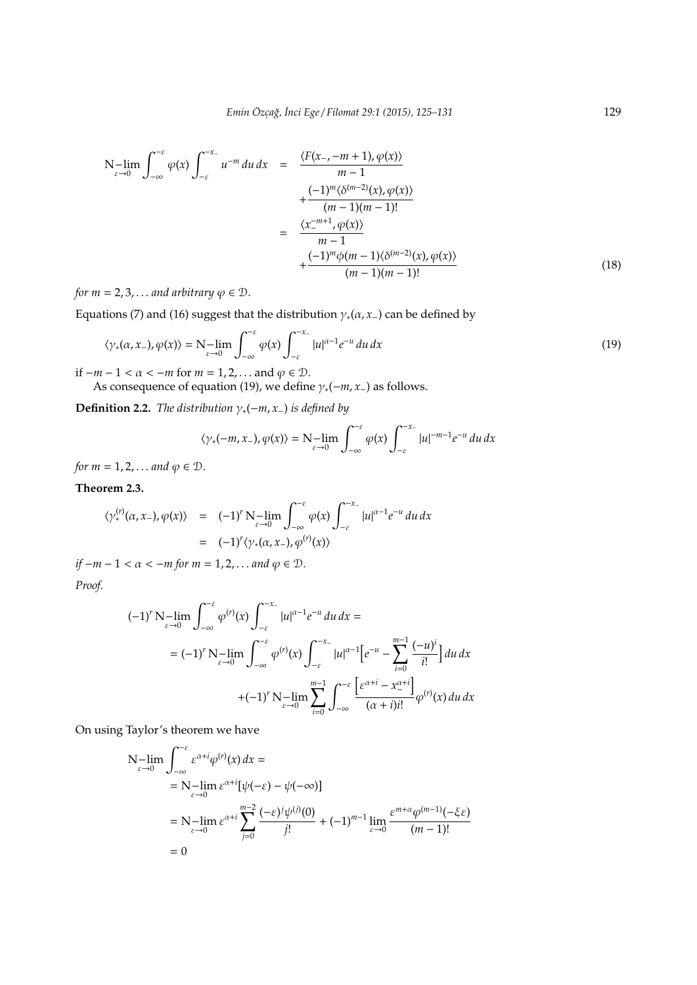$$
N-\lim_{\varepsilon \to 0} \int_{-\infty}^{-\varepsilon} \varphi(x) \int_{-\varepsilon}^{-x_{-}} u^{-m} du dx = \frac{\langle F(x_{-}, -m+1), \varphi(x) \rangle}{m-1} + \frac{(-1)^{m} \langle \delta^{(m-2)}(x), \varphi(x) \rangle}{(m-1)(m-1)!} = \frac{\langle x_{-}^{-m+1}, \varphi(x) \rangle}{m-1} + \frac{(-1)^{m} \varphi(m-1) \langle \delta^{(m-2)}(x), \varphi(x) \rangle}{(m-1)(m-1)!} \tag{18}
$$

*for m* = 2, 3, ... *and arbitrary*  $\varphi \in \mathcal{D}$ .

Equations (7) and (16) suggest that the distribution  $\gamma_*(\alpha, x_-)$  can be defined by

$$
\langle \gamma_*(\alpha, x_-), \varphi(x) \rangle = N - \lim_{\varepsilon \to 0} \int_{-\infty}^{-\varepsilon} \varphi(x) \int_{-\varepsilon}^{-x_-} |u|^{\alpha - 1} e^{-u} du dx \tag{19}
$$

if  $-m-1 < \alpha < -m$  for  $m = 1, 2, ...$  and  $\varphi \in \mathcal{D}$ . As consequence of equation (19), we define  $\gamma_*(-m, x_-)$  as follows.

**Definition 2.2.** *The distribution*  $\gamma_*(-m, x_-)$  *is defined by* 

$$
\langle \gamma_*(-m,x_-), \varphi(x) \rangle = \mathcal{N} - \lim_{\varepsilon \to 0} \int_{-\infty}^{-\varepsilon} \varphi(x) \int_{-\varepsilon}^{-x_-} |u|^{-m-1} e^{-u} du dx
$$

*for*  $m = 1, 2, \ldots$  *and*  $\varphi \in \mathcal{D}$ .

**Theorem 2.3.**

$$
\langle \gamma_*^{(r)}(\alpha, x_-), \varphi(x) \rangle = (-1)^r \mathcal{N} - \lim_{\varepsilon \to 0} \int_{-\infty}^{-\varepsilon} \varphi(x) \int_{-\varepsilon}^{-x_-} |u|^{\alpha - 1} e^{-u} du dx
$$
  
= (-1)<sup>r</sup> \langle \gamma\_\*(\alpha, x\_-), \varphi^{(r)}(x) \rangle

*if*  $-m-1 < \alpha < -m$  for  $m = 1, 2, \dots$  and  $\varphi \in \mathcal{D}$ .

*Proof.*

$$
(-1)^{r} \mathbf{N} - \lim_{\varepsilon \to 0} \int_{-\infty}^{-\varepsilon} \varphi^{(r)}(x) \int_{-\varepsilon}^{-x_{-}} |u|^{\alpha - 1} e^{-u} du dx =
$$
  

$$
= (-1)^{r} \mathbf{N} - \lim_{\varepsilon \to 0} \int_{-\infty}^{-\varepsilon} \varphi^{(r)}(x) \int_{-\varepsilon}^{-x_{-}} |u|^{\alpha - 1} \Big[ e^{-u} - \sum_{i=0}^{m-1} \frac{(-u)^{i}}{i!} \Big] du dx
$$
  

$$
+ (-1)^{r} \mathbf{N} - \lim_{\varepsilon \to 0} \sum_{i=0}^{m-1} \int_{-\infty}^{-\varepsilon} \frac{\Big[ e^{\alpha + i} - x_{-}^{\alpha + i} \Big]}{(\alpha + i)^{i!}} \varphi^{(r)}(x) du dx
$$

On using Taylor's theorem we have

$$
N-\lim_{\varepsilon \to 0} \int_{-\infty}^{-\varepsilon} \varepsilon^{\alpha+i} \varphi^{(r)}(x) dx =
$$
  
=  $N-\lim_{\varepsilon \to 0} \varepsilon^{\alpha+i} [\psi(-\varepsilon) - \psi(-\infty)]$   
=  $N-\lim_{\varepsilon \to 0} \varepsilon^{\alpha+i} \sum_{j=0}^{m-2} \frac{(-\varepsilon)^j \psi^{(j)}(0)}{j!} + (-1)^{m-1} \lim_{\varepsilon \to 0} \frac{\varepsilon^{m+\alpha} \varphi^{(m-1)}(-\xi \varepsilon)}{(m-1)!}$   
= 0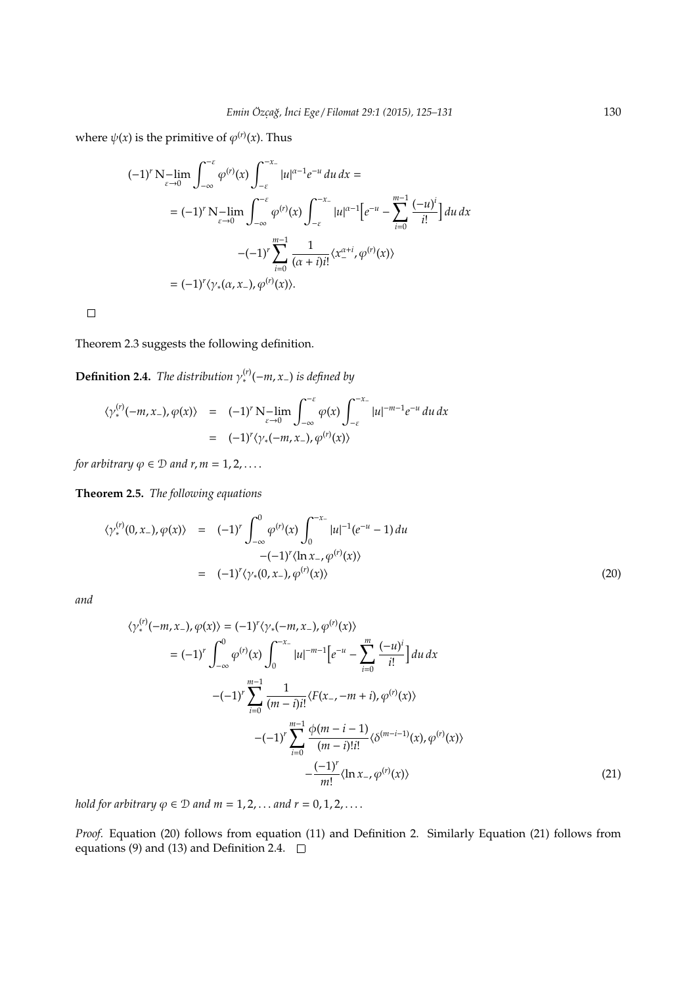where  $\psi(x)$  is the primitive of  $\varphi^{(r)}(x)$ . Thus

$$
(-1)^{r} N - \lim_{\varepsilon \to 0} \int_{-\infty}^{-\varepsilon} \varphi^{(r)}(x) \int_{-\varepsilon}^{-x_{-}} |u|^{\alpha - 1} e^{-u} du dx =
$$
  

$$
= (-1)^{r} N - \lim_{\varepsilon \to 0} \int_{-\infty}^{-\varepsilon} \varphi^{(r)}(x) \int_{-\varepsilon}^{-x_{-}} |u|^{\alpha - 1} \Big[ e^{-u} - \sum_{i=0}^{m-1} \frac{(-u)^{i}}{i!} \Big] du dx
$$
  

$$
-(-1)^{r} \sum_{i=0}^{m-1} \frac{1}{(\alpha + i)i!} \langle x_{-}^{\alpha + i}, \varphi^{(r)}(x) \rangle
$$
  

$$
= (-1)^{r} \langle \gamma_{*}(\alpha, x_{-}), \varphi^{(r)}(x) \rangle.
$$

 $\Box$ 

Theorem 2.3 suggests the following definition.

**Definition 2.4.** *The distribution*  $\gamma_*^{(r)}$ ( $-m, x$ <sub>−</sub>) *is defined by* 

$$
\langle \gamma_*^{(r)}(-m, x_-), \varphi(x) \rangle = (-1)^r \mathcal{N} - \lim_{\varepsilon \to 0} \int_{-\infty}^{-\varepsilon} \varphi(x) \int_{-\varepsilon}^{-x_-} |u|^{-m-1} e^{-u} du dx
$$
  
= (-1)<sup>r</sup> \langle \gamma\_\*(-m, x\_-), \varphi^{(r)}(x) \rangle

*for arbitrary*  $\varphi \in \mathcal{D}$  *and r, m* = 1, 2, ...

**Theorem 2.5.** *The following equations*

$$
\langle \gamma_{*}^{(r)}(0, x_{-}), \varphi(x) \rangle = (-1)^{r} \int_{-\infty}^{0} \varphi^{(r)}(x) \int_{0}^{-x_{-}} |u|^{-1} (e^{-u} - 1) du
$$
  

$$
-(-1)^{r} \langle \ln x_{-}, \varphi^{(r)}(x) \rangle
$$
  

$$
= (-1)^{r} \langle \gamma_{*}(0, x_{-}), \varphi^{(r)}(x) \rangle
$$
 (20)

*and*

$$
\langle \gamma_{*}^{(r)}(-m, x_{-}), \varphi(x) \rangle = (-1)^{r} \langle \gamma_{*}(-m, x_{-}), \varphi^{(r)}(x) \rangle
$$
  
\n
$$
= (-1)^{r} \int_{-\infty}^{0} \varphi^{(r)}(x) \int_{0}^{-x_{-}} |u|^{-m-1} \Big[ e^{-u} - \sum_{i=0}^{m} \frac{(-u)^{i}}{i!} \Big] du \, dx
$$
  
\n
$$
-(-1)^{r} \sum_{i=0}^{m-1} \frac{1}{(m-i)i!} \langle F(x_{-}, -m+i), \varphi^{(r)}(x) \rangle
$$
  
\n
$$
-(-1)^{r} \sum_{i=0}^{m-1} \frac{\varphi(m-i-1)}{(m-i)!i!} \langle \delta^{(m-i-1)}(x), \varphi^{(r)}(x) \rangle
$$
  
\n
$$
- \frac{(-1)^{r}}{m!} \langle \ln x_{-}, \varphi^{(r)}(x) \rangle
$$
 (21)

*hold for arbitrary*  $\varphi \in \mathcal{D}$  *and*  $m = 1, 2, \dots$  *and*  $r = 0, 1, 2, \dots$ 

*Proof.* Equation (20) follows from equation (11) and Definition 2. Similarly Equation (21) follows from equations (9) and (13) and Definition 2.4.  $\Box$